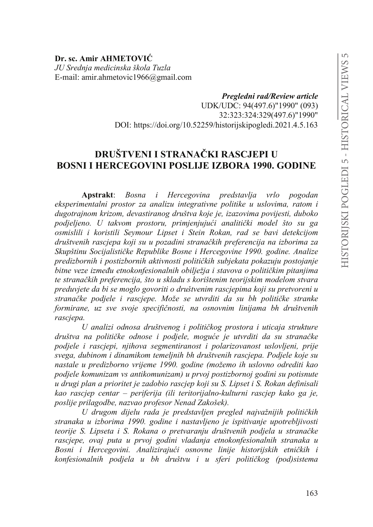**Dr. sc. Amir AHMETOVIû** *JU Srednja medicinska škola Tuzla* E-mail: amir.ahmetovic1966@gmail.com

> *Pregledni rad/Review article* UDK/UDC: 94(497.6)"1990" (093) 32:323:324:329(497.6)"1990" DOI: https://doi.org/10.52259/historijskipogledi.2021.4.5.163

# **DRUŠTVENI I STRANAČKI RASCJEPI U BOSNI I HERCEGOVINI POSLIJE IZBORA 1990. GODINE**

**Apstrakt**: *Bosna i Hercegovina predstavlja vrlo pogodan eksperimentalni prostor za analizu integrativne politike u uslovima, ratom i dugotrajnom krizom, devastiranog društva koje je, izazovima povijesti, duboko SRGMHOMHQR 8 WDNYRP SURVWRUX SULPMHQMXMXüL DQDOLWLþNL model što su ga osmislili i koristili Seymour Lipset i Stein Rokan, rad se bavi detekcijom*  društvenih rasciepa koji su u pozadini stranačkih preferencija na izborima za Skupštinu Socijalističke Republike Bosne i Hercegovine 1990. godine. Analize *predizbornih i postizbornih aktivnosti političkih subjekata pokazuju postojanje* bitne veze između etnokonfesionalnih obilježja i stavova o političkim pitanjima te stranačkih preferencija, što u skladu s korištenim teorijskim modelom stvara *preduvjete da bi se moglo govoriti o društvenim rascjepima koji su pretvoreni u*  stranačke podjele i rascjepe. Može se utvrditi da su bh političke stranke *formirane, uz sve svoje specifičnosti, na osnovnim linijama bh društvenih rascjepa.* 

*8 DQDOL]L RGQRVD GUXãWYHQRJ L SROLWLþNRJ SUostora i uticaja strukture*  društva na političke odnose i podjele, moguće je utvrditi da su stranačke *podjele i rascjepi, njihova segmentiranost i polarizovanost uslovljeni, prije svega, dubinom i dinamikom temeljnih bh društvenih rascjepa. Podjele koje su nastale u predizborno vrijeme 1990. godine (možemo ih uslovno odrediti kao podjele komunizam vs antikomunizam) u prvoj postizbornoj godini su potisnute u drugi plan a prioritet je zadobio rascjep koji su S. Lipset i S. Rokan definisali kao rascjep centar – periferija (ili teritorijalno-kulturni rascjep kako ga je, poslije prilagodbe, nazvao profesor Nenad Zakošek).* 

U drugom dijelu rada je predstavljen pregled najvažnijih političkih *stranaka u izborima 1990. godine i nastavljeno je ispitivanje upotrebljivosti* teorije S. Lipseta i S. Rokana o pretvaranju društvenih podjela u stranačke *rascjepe, ovaj puta u prvoj godini vladanja etnokonfesionalnih stranaka u*  Bosni i Hercegovini. Analizirajući osnovne linije historijskih etničkih i konfesionalnih podjela u bh društvu i u sferi političkog (pod)sistema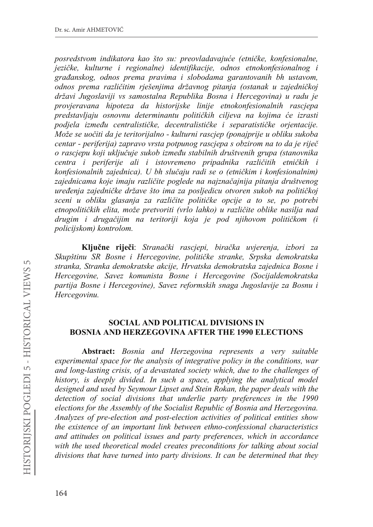posredstvom indikatora kao što su: preovladavajuće (etničke, konfesionalne, jezičke, kulturne i regionalne) identifikacije, odnos etnokonfesionalnog i građanskog, odnos prema pravima i slobodama garantovanih bh ustavom, odnos prema različitim riešenjima državnog pitanja (ostanak u zajedničkoj državi Jugoslaviji vs samostalna Republika Bosna i Hercegovina) u radu je provjeravana hipoteza da historijske linije etnokonfesionalnih rascjepa predstavljaju osnovnu determinantu političkih ciljeva na kojima će izrasti podjela između centralističke, decentralističke i separatističke orjentacije. Može se uočiti da je teritorijalno - kulturni rascjep (ponajprije u obliku sukoba centar - periferija) zapravo vrsta potpunog rascjepa s obzirom na to da je riječ o rascjepu koji uključuje sukob između stabilnih društvenih grupa (stanovnika centra i periferije ali i istovremeno pripadnika različitih etničkih i konfesionalnih zajednica). U bh slučaju radi se o (etničkim i konfesionalnim) zajednicama koje imaju različite poglede na najznačajnija pitanja društvenog uređenja zajedničke države što ima za posljedicu otvoren sukob na političkoj sceni u obliku glasanja za različite političke opcije a to se, po potrebi etnopolitičkih elita, može pretvoriti (vrlo lahko) u različite oblike nasilja nad drugim i drugačijim na teritoriji koja je pod njihovom političkom (i policijskom) kontrolom.

Ključne riječi: Stranački rascjepi, biračka uvjerenja, izbori za Skupštinu SR Bosne i Hercegovine, političke stranke, Srpska demokratska stranka, Stranka demokratske akcije, Hrvatska demokratska zajednica Bosne i Hercegovine, Savez komunista Bosne i Hercegovine (Socijaldemokratska partija Bosne i Hercegovine), Savez reformskih snaga Jugoslavije za Bosnu i Hercegovinu.

#### **SOCIAL AND POLITICAL DIVISIONS IN BOSNIA AND HERZEGOVINA AFTER THE 1990 ELECTIONS**

Abstract: Bosnia and Herzegovina represents a very suitable experimental space for the analysis of integrative policy in the conditions, war and long-lasting crisis, of a devastated society which, due to the challenges of history, is deeply divided. In such a space, applying the analytical model designed and used by Seymour Lipset and Stein Rokan, the paper deals with the detection of social divisions that underlie party preferences in the 1990 elections for the Assembly of the Socialist Republic of Bosnia and Herzegovina. Analyzes of pre-election and post-election activities of political entities show the existence of an important link between ethno-confessional characteristics and attitudes on political issues and party preferences, which in accordance with the used theoretical model creates preconditions for talking about social divisions that have turned into party divisions. It can be determined that they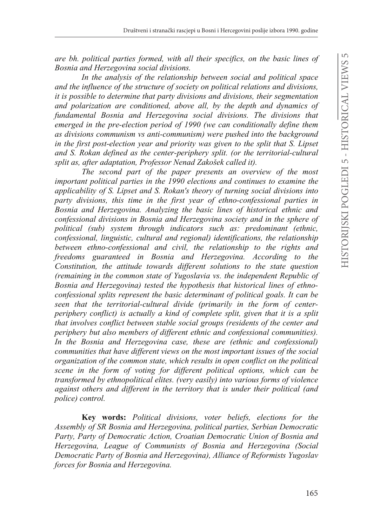are bh, political parties formed, with all their specifics, on the basic lines of Bosnia and Herzegovina social divisions.

In the analysis of the relationship between social and political space and the influence of the structure of society on political relations and divisions, it is possible to determine that party divisions and divisions, their segmentation and polarization are conditioned, above all, by the depth and dynamics of fundamental Bosnia and Herzegovina social divisions. The divisions that emerged in the pre-election period of 1990 (we can conditionally define them as divisions communism vs anti-communism) were pushed into the background in the first post-election year and priority was given to the split that S. Lipset and S. Rokan defined as the center-periphery split. (or the territorial-cultural split as, after adaptation, Professor Nenad Zakošek called it).

The second part of the paper presents an overview of the most important political parties in the 1990 elections and continues to examine the applicability of S. Lipset and S. Rokan's theory of turning social divisions into party divisions, this time in the first year of ethno-confessional parties in Bosnia and Herzegovina. Analyzing the basic lines of historical ethnic and confessional divisions in Bosnia and Herzegovina society and in the sphere of political (sub) system through indicators such as: predominant (ethnic, confessional, linguistic, cultural and regional) identifications, the relationship between ethno-confessional and civil, the relationship to the rights and freedoms guaranteed in Bosnia and Herzegovina. According to the Constitution, the attitude towards different solutions to the state question (remaining in the common state of Yugoslavia vs. the independent Republic of Bosnia and Herzegovina) tested the hypothesis that historical lines of ethnoconfessional splits represent the basic determinant of political goals. It can be seen that the territorial-cultural divide (primarily in the form of centerperiphery conflict) is actually a kind of complete split, given that it is a split that involves conflict between stable social groups (residents of the center and periphery but also members of different ethnic and confessional communities). In the Bosnia and Herzegovina case, these are (ethnic and confessional) communities that have different views on the most important issues of the social organization of the common state, which results in open conflict on the political scene in the form of voting for different political options, which can be transformed by ethnopolitical elites. (very easily) into various forms of violence against others and different in the territory that is under their political (and police) control.

Key words: Political divisions, voter beliefs, elections for the Assembly of SR Bosnia and Herzegovina, political parties, Serbian Democratic Party, Party of Democratic Action, Croatian Democratic Union of Bosnia and Herzegovina, League of Communists of Bosnia and Herzegovina (Social Democratic Party of Bosnia and Herzegovina), Alliance of Reformists Yugoslav forces for Bosnia and Herzegovina.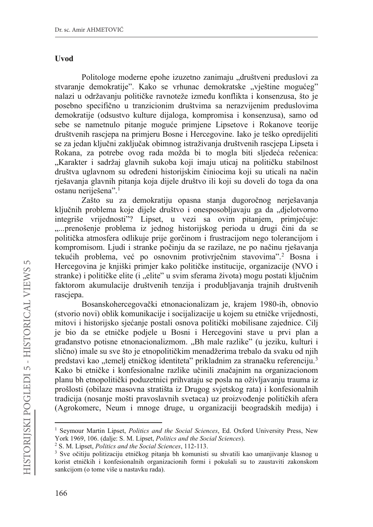#### Uvod

Politologe moderne epohe izuzetno zanimaju "društveni preduslovi za stvaranje demokratije". Kako se vrhunac demokratske "vještine mogućeg" nalazi u održavanju političke ravnoteže između konflikta i konsenzusa, što je posebno specifično u tranzicionim društvima sa nerazvijenim preduslovima demokratije (odsustvo kulture dijaloga, kompromisa i konsenzusa), samo od sebe se nametnulo pitanje moguće primjene Lipsetove i Rokanove teorije društvenih rascjepa na primjeru Bosne i Hercegovine. Iako je teško opredijeliti se za jedan ključni zaključak obimnog istraživanja društvenih rascjepa Lipseta i Rokana, za potrebe ovog rada možda bi to mogla biti sljedeća rečenica: "Karakter i sadržaj glavnih sukoba koji imaju uticaj na političku stabilnost društva uglavnom su određeni historijskim činiocima koji su uticali na način rješavanja glavnih pitanja koja dijele društvo ili koji su doveli do toga da ona ostanu neriješena".<sup>1</sup>

Zašto su za demokratiju opasna stanja dugoročnog nerješavanja ključnih problema koje dijele društvo i onesposobljavaju ga da "djelotvorno integriše vrijednosti"? Lipset, u vezi sa ovim pitanjem, primjećuje: "...prenošenje problema iz jednog historijskog perioda u drugi čini da se politička atmosfera odlikuje prije gorčinom i frustracijom nego tolerancijom i kompromisom. Ljudi i stranke počinju da se razilaze, ne po načinu rješavanja tekućih problema, već po osnovnim protivrječnim stavovima".<sup>2</sup> Bosna i Hercegovina je knjiški primjer kako političke institucije, organizacije (NVO i stranke) i političke elite (i "elite" u svim sferama života) mogu postati ključnim faktorom akumulacije društvenih tenzija i produbljavanja trajnih društvenih rasciepa.

Bosanskohercegovački etnonacionalizam je, krajem 1980-ih, obnovio (stvorio novi) oblik komunikacije i socijalizacije u kojem su etničke vrijednosti, mitovi i historijsko sjećanje postali osnova politički mobilisane zajednice. Cilj je bio da se etničke podjele u Bosni i Hercegovini stave u prvi plan a građanstvo potisne etnonacionalizmom. "Bh male razlike" (u jeziku, kulturi i slično) imale su sve što je etnopolitičkim menadžerima trebalo da svaku od njih predstavi kao "temelj etničkog identiteta" prikladnim za stranačku referenciju.<sup>3</sup> Kako bi etničke i konfesionalne razlike učinili značajnim na organizacionom planu bh etnopolitički poduzetnici prihvataju se posla na oživljavanju trauma iz prošlosti (obilaze masovna stratišta iz Drugog svjetskog rata) i konfesionalnih tradicija (nosanje mošti pravoslavnih svetaca) uz proizvođenje političkih afera (Agrokomerc, Neum i mnoge druge, u organizaciji beogradskih medija) i

<sup>&</sup>lt;sup>1</sup> Seymour Martin Lipset, Politics and the Social Sciences, Ed. Oxford University Press, New York 1969, 106. (dalje: S. M. Lipset, Politics and the Social Sciences).

<sup>&</sup>lt;sup>2</sup> S. M. Lipset, *Politics and the Social Sciences*, 112-113.

<sup>&</sup>lt;sup>3</sup> Sve očitiju politizaciju etničkog pitanja bh komunisti su shvatili kao umanjivanje klasnog u korist etničkih i konfesionalnih organizacionih formi i pokušali su to zaustaviti zakonskom sankcijom (o tome više u nastavku rada).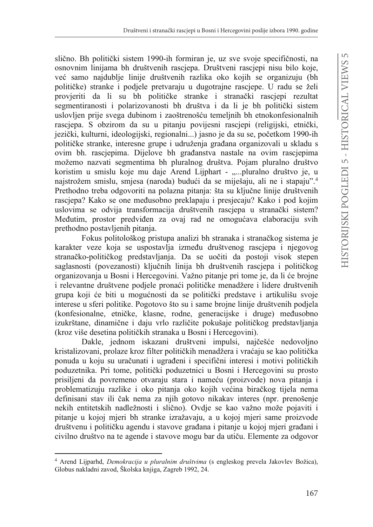slično. Bh politički sistem 1990-ih formiran je, uz sve svoje specifičnosti, na osnovnim linijama bh društvenih rascjepa. Društveni rascjepi nisu bilo koje, već samo najdublje linije društvenih razlika oko kojih se organizuju (bh političke) stranke i podjele pretvaraju u dugotrajne rasciepe. U radu se želi provieriti da li su bh političke stranke i stranački rasciepi rezultat segmentiranosti i polarizovanosti bh društva i da li je bh politički sistem uslovljen prije svega dubinom i zaoštrenošću temeljnih bh etnokonfesionalnih rasciepa. S obzirom da su u pitanju povijesni rasciepi (religijski, etnički, jezički, kulturni, ideologijski, regionalni...) jasno je da su se, početkom 1990-ih političke stranke, interesne grupe i udruženja građana organizovali u skladu s ovim bh. rascjepima. Dijelove bh građanstva nastale na ovim rascjepima možemo nazvati segmentima bh pluralnog društva. Pojam pluralno društvo koristim u smislu koje mu daje Arend Lijphart - "...pluralno društvo je, u najstrožem smislu, smjesa (naroda) budući da se miješaju, ali ne i stapaju".<sup>4</sup> Prethodno treba odgovoriti na polazna pitanja: šta su ključne linije društvenih rascjepa? Kako se one međusobno preklapaju i presjecaju? Kako i pod kojim uslovima se odvija transformacija društvenih rascjepa u stranački sistem? Međutim, prostor predviđen za ovaj rad ne omogućava elaboraciju svih prethodno postavljenih pitanja.

Fokus politološkog pristupa analizi bh stranaka i stranačkog sistema je karakter veze koja se uspostavlja između društvenog rascjepa i njegovog stranačko-političkog predstavljanja. Da se uočiti da postoji visok stepen saglasnosti (povezanosti) ključnih linija bh društvenih rascjepa i političkog organizovanja u Bosni i Hercegovini. Važno pitanje pri tome je, da li će brojne i relevantne društvene podjele pronaći političke menadžere i lidere društvenih grupa koji će biti u mogućnosti da se politički predstave i artikulišu svoje interese u sferi politike. Pogotovo što su i same brojne linije društvenih podjela (konfesionalne, etničke, klasne, rodne, generacijske i druge) međusobno izukrštane, dinamične i daju vrlo različite pokušaje političkog predstavljanja (kroz više desetina političkih stranaka u Bosni i Hercegovini).

Dakle, jednom iskazani društveni impulsi, najčešće nedovoljno kristalizovani, prolaze kroz filter političkih menadžera i vraćaju se kao politička ponuda u koju su uračunati i ugrađeni i specifični interesi i motivi političkih poduzetnika. Pri tome, politički poduzetnici u Bosni i Hercegovini su prosto prisiljeni da povremeno otvaraju stara i nameću (proizvode) nova pitanja i problematizuju razlike i oko pitanja oko kojih većina biračkog tijela nema definisani stav ili čak nema za njih gotovo nikakav interes (npr. prenošenje nekih entitetskih nadležnosti i slično). Ovdje se kao važno može pojaviti i pitanje u kojoj mjeri bh stranke izražavaju, a u kojoj mjeri same proizvode društvenu i političku agendu i stavove građana i pitanje u kojoj mjeri građani i civilno društvo na te agende i stavove mogu bar da utiču. Elemente za odgovor

<sup>&</sup>lt;sup>4</sup> Arend Lijparhd, *Demokracija u pluralnim društvima* (s engleskog prevela Jakovlev Božica), Globus nakladni zavod, Školska knjiga, Zagreb 1992, 24.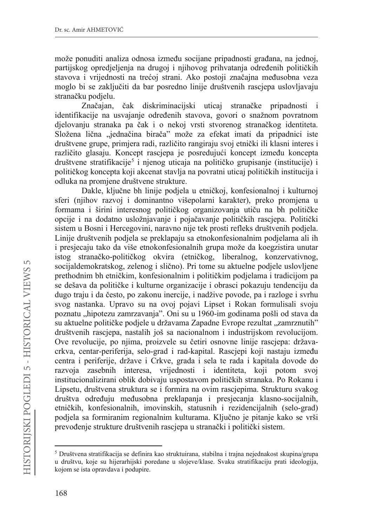može ponuditi analiza odnosa između socijane pripadnosti građana, na jednoj, partijskog opredjeljenja na drugoj i njihovog prihvatanja određenih političkih stavova i vrijednosti na trećoj strani. Ako postoji značajna međusobna veza moglo bi se zaključiti da bar posredno linije društvenih rascjepa uslovljavaju stranačku podielu.

Značajan, čak diskriminacijski uticaj stranačke pripadnosti i identifikacije na usvajanje određenih stavova, govori o snažnom povratnom djelovanju stranaka pa čak i o nekoj vrsti stvorenog stranačkog identiteta. Složena lična "jednačina birača" može za efekat imati da pripadnici iste društvene grupe, primjera radi, različito rangiraju svoj etnički ili klasni interes i različito glasaju. Koncept rascjepa je posredujući koncept između koncepta društvene stratifikacije<sup>5</sup> i njenog uticaja na političko grupisanje (institucije) i političkog koncepta koji akcenat stavlja na povratni uticaj političkih institucija i odluka na promjene društvene strukture.

Dakle, ključne bh linije podjela u etničkoj, konfesionalnoj i kulturnoj sferi (njihov razvoj i dominantno višepolarni karakter), preko promjena u formama i širini interesnog političkog organizovanja utiču na bh političke opcije i na dodatno usložnjavanje i pojačavanje političkih rascjepa. Politički sistem u Bosni i Hercegovini, naravno nije tek prosti refleks društvenih podjela. Linije društvenih podjela se preklapaju sa etnokonfesionalnim podjelama ali ih i presjecaju tako da više etnokonfesionalnih grupa može da koegzistira unutar istog stranačko-političkog okvira (etničkog, liberalnog, konzervativnog, socijaldemokratskog, zelenog i slično). Pri tome su aktuelne podjele uslovljene prethodním bh etničkim, konfesionalním i političkim podjelama i tradicijom pa se dešava da političke i kulturne organizacije i obrasci pokazuju tendenciju da dugo traju i da često, po zakonu inercije, i nadžive povode, pa i razloge i svrhu svog nastanka. Upravo su na ovoj pojavi Lipset i Rokan formulisali svoju poznatu "hipotezu zamrzavanja". Oni su u 1960-im godinama pošli od stava da su aktuelne političke podjele u državama Zapadne Evrope rezultat "zamrznutih" društvenih rasciepa, nastalih još sa nacionalnom i industrijskom revolucijom. Ove revolucije, po njima, proizvele su četiri osnovne linije rascjepa: državacrkva, centar-periferija, selo-grad i rad-kapital. Rascjepi koji nastaju između centra i periferije, države i Crkve, grada i sela te rada i kapitala dovode do razvoja zasebnih interesa, vrijednosti i identiteta, koji potom svoj institucionalizirani oblik dobivaju uspostavom političkih stranaka. Po Rokanu i Lipsetu, društvena struktura se i formira na ovim rascjepima. Strukturu svakog društva određuju međusobna preklapanja i presjecanja klasno-socijalnih, etničkih, konfesionalnih, imovinskih, statusnih i rezidencijalnih (selo-grad) podjela sa formiranim regionalnim kulturama. Ključno je pitanje kako se vrši prevođenje strukture društvenih rascjepa u stranački i politički sistem.

<sup>&</sup>lt;sup>5</sup> Društvena stratifikacija se definira kao struktuirana, stabilna i trajna nejednakost skupina/grupa u društvu, koje su hijerarhijski poredane u slojeve/klase. Svaku stratifikaciju prati ideologija, kojom se ista opravdava i podupire.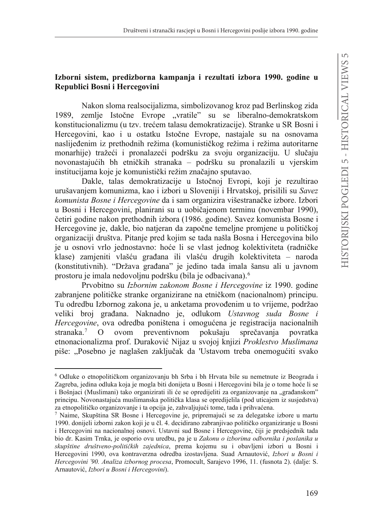## Izborni sistem, predizborna kampanja i rezultati izbora 1990. godine u Republici Bosni i Hercegovini

Nakon sloma realsocijalizma, simbolizovanog kroz pad Berlinskog zida 1989, zemlje Istočne Evrope "vratile" su se liberalno-demokratskom konstitucionalizmu (u tzv. trećem talasu demokratizacije). Stranke u SR Bosni i Hercegovini, kao i u ostatku Istočne Evrope, nastajale su na osnovama naslijeđenim iz prethodnih režima (komunističkog režima i režima autoritarne monarhije) tražeći i pronalazeći podršku za svoju organizaciju. U slučaju novonastajućih bh etničkih stranaka - podršku su pronalazili u vjerskim institucijama koje je komunistički režim značajno sputavao.

Dakle, talas demokratizacije u Istočnoj Evropi, koji je rezultirao urušavanjem komunizma, kao i izbori u Sloveniji i Hrvatskoj, prisilili su Savez komunista Bosne i Hercegovine da i sam organizira višestranačke izbore. Izbori u Bosni i Hercegovini, planirani su u uobičajenom terminu (novembar 1990), četiri godine nakon prethodnih izbora (1986. godine). Savez komunista Bosne i Hercegovine je, dakle, bio natjeran da započne temeljne promjene u političkoj organizaciji društva. Pitanje pred kojim se tada našla Bosna i Hercegovina bilo je u osnovi vrlo jednostavno: hoće li se vlast jednog kolektiviteta (radničke klase) zamjeniti vlašću građana ili vlašću drugih kolektiviteta – naroda (konstitutivnih). "Država građana" je jedino tada imala šansu ali u javnom prostoru je imala nedovoljnu podršku (bila je odbacivana).<sup>6</sup>

Prvobitno su Izbornim zakonom Bosne i Hercegovine iz 1990. godine zabranjene političke stranke organizirane na etničkom (nacionalnom) principu. Tu odredbu Izbornog zakona je, u anketama provođenim u to vrijeme, podržao veliki broj građana. Naknadno je, odlukom Ustavnog suda Bosne i Hercegovine, ova odredba poništena i omogućena je registracija nacionalnih preventivnom pokušaju stranaka.<sup>7</sup>  $\Omega$ ovom sprečavanja povratka etnonacionalizma prof. Duraković Nijaz u svojoj knjizi Proklestvo Muslimana piše: "Posebno je naglašen zaključak da 'Ustavom treba onemogućiti svako

<sup>&</sup>lt;sup>6</sup> Odluke o etnopolitičkom organizovanju bh Srba i bh Hrvata bile su nemetnute iz Beograda i Zagreba, jedina odluka koja je mogla biti donijeta u Bosni i Hercegovini bila je o tome hoće li se i Bošnjaci (Muslimani) tako organizirati ili će se opredijeliti za organizovanje na "građanskom" principu. Novonastajuća muslimanska politička klasa se opredijelila (pod uticajem iz susjedstva) za etnopolitičko organizovanje i ta opcija je, zahvaljujući tome, tada i prihvaćena.

<sup>7</sup> Naime, Skupština SR Bosne i Hercegovine je, pripremajući se za delegatske izbore u martu 1990. donijeli izborni zakon koji je u čl. 4. decidirano zabranjivao političko organiziranje u Bosni i Hercegovini na nacionalnoj osnovi. Ustavni sud Bosne i Hercegovine, čiji je predsjednik tada bio dr. Kasim Trnka, je osporio ovu uredbu, pa je u Zakonu o izborima odbornika i poslanika u skupštine društveno-političkih zajednica, prema kojemu su i obavljeni izbori u Bosni i Hercegovini 1990, ova kontraverzna odredba izostavljena. Suad Arnautović, Izbori u Bosni i Hercegovini '90. Analiza izbornog procesa, Promocult, Sarajevo 1996, 11. (fusnota 2). (dalje: S. Arnautović, Izbori u Bosni i Hercegovini).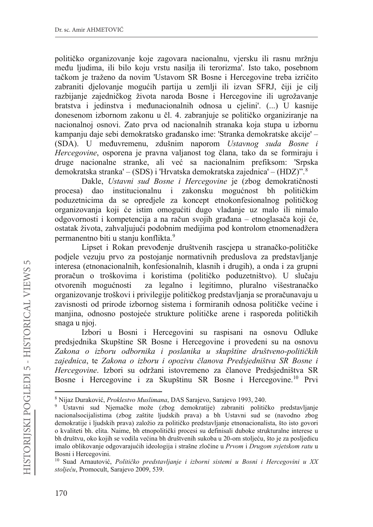političko organizovanje koje zagovara nacionalnu, vjersku ili rasnu mržnju među ljudima, ili bilo koju vrstu nasilja ili terorizma'. Isto tako, posebnom tačkom je traženo da novim 'Ustavom SR Bosne i Hercegovine treba izričito zabraniti djelovanje mogućih partija u zemlji ili izvan SFRJ, čiji je cilj razbijanje zajedničkog života naroda Bosne i Hercegovine ili ugrožavanje bratstva i jedinstva i međunacionalnih odnosa u cjelini'. (...) U kasnije donesenom izbornom zakonu u čl. 4. zabranjuje se političko organiziranje na nacionalnoj osnovi. Zato prva od nacionalnih stranaka koja stupa u izbornu kampanju daje sebi demokratsko građansko ime: 'Stranka demokratske akcije' – (SDA). U međuvremenu, zdušnim naporom Ustavnog suda Bosne i Hercegovine, osporena je pravna valjanost tog člana, tako da se formiraju i druge nacionalne stranke, ali već sa nacionalnim prefiksom: 'Srpska demokratska stranka' – (SDS) i 'Hrvatska demokratska zajednica' – (HDZ)". <sup>8</sup>

Dakle, Ustavni sud Bosne i Hercegovine je (zbog demokratičnosti procesa) dao institucionalnu i zakonsku mogućnost bh političkim poduzetnicima da se opredjele za koncept etnokonfesionalnog političkog organizovanja koji će istim omogućiti dugo vladanje uz malo ili nimalo odgovornosti i kompetencija a na račun svojih građana – etnoglasača koji će, ostatak života, zahvaljujući podobnim medijima pod kontrolom etnomenadžera permanentno biti u stanju konflikta.<sup>9</sup>

Lipset i Rokan prevođenje društvenih rascjepa u stranačko-političke podjele vezuju prvo za postojanje normativnih preduslova za predstavlianie interesa (etnonacionalnih, konfesionalnih, klasnih i drugih), a onda i za grupni proračun o troškovima i koristima (političko poduzetništvo). U slučaju otvorenih mogućnosti za legalno i legitimno, pluralno višestranačko organizovanje troškovi i privilegije političkog predstavljanja se proračunavaju u zavisnosti od prirode izbornog sistema i formiranih odnosa političke većine i manjina, odnosno postojeće strukture političke arene i rasporeda političkih snaga u njoj.

Izbori u Bosni i Hercegovini su raspisani na osnovu Odluke predsjednika Skupštine SR Bosne i Hercegovine i provedeni su na osnovu Zakona o izboru odbornika i poslanika u skupštine društveno-političkih zajednica, te Zakona o izboru i opozivu članova Predsjedništva SR Bosne i Hercegovine. Izbori su održani istovremeno za članove Predsjedništva SR Bosne i Hercegovine i za Skupštinu SR Bosne i Hercegovine.<sup>10</sup> Prvi

<sup>8</sup> Nijaz Duraković, Proklestvo Muslimana, DAS Sarajevo, Sarajevo 1993, 240.

<sup>&</sup>lt;sup>9</sup> Ustavni sud Njemačke može (zbog demokratije) zabraniti političko predstavljanje nacionalsocijalistima (zbog zaštite ljudskih prava) a bh Ustavni sud se (navodno zbog demokratije i ljudskih prava) založio za političko predstavljanje etnonacionalista, što isto govori o kvaliteti bh. elita. Naime, bh etnopolitički procesi su definisali duboke strukturalne interese u bh društvu, oko kojih se vodila većina bh društvenih sukoba u 20-om stoljeću, što je za posljedicu imalo oblikovanje odgovarajućih ideologija i strašne zločine u Prvom i Drugom svjetskom ratu u Bosni i Hercegovini.

<sup>&</sup>lt;sup>10</sup> Suad Arnautović, Političko predstavljanje i izborni sistemi u Bosni i Hercegovini u XX stoljeću, Promocult, Sarajevo 2009, 539.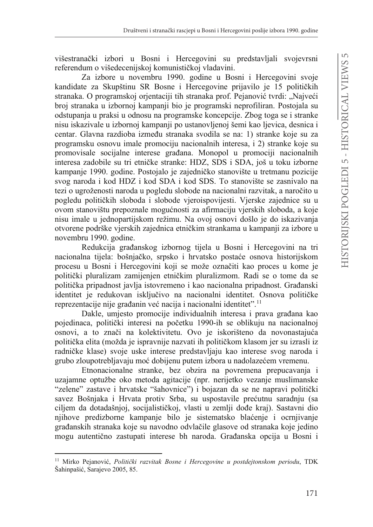višestranački izbori u Bosni i Hercegovini su predstavljali svojevrsni referendum o višedecenijskoj komunističkoj vladavini.

Za izbore u novembru 1990. godine u Bosni i Hercegovini svoje kandidate za Skupštinu SR Bosne i Hercegovine prijavilo je 15 političkih stranaka. O programskoj orjentaciji tih stranaka prof. Pejanović tvrdi: "Najveći broj stranaka u izbornoj kampanji bio je programski neprofiliran. Postojala su odstupanja u praksi u odnosu na programske koncepcije. Zbog toga se i stranke nisu iskazivale u izbornoj kampanji po ustanovljenoj šemi kao ljevica, desnica i centar. Glavna razdioba između stranaka svodila se na: 1) stranke koje su za programsku osnovu imale promociju nacionalnih interesa, i 2) stranke koje su promovisale socijalne interese građana. Monopol u promociji nacionalnih interesa zadobile su tri etničke stranke: HDZ, SDS i SDA, još u toku izborne kampanie 1990. godine. Postojalo je zajedničko stanovište u tretmanu pozicije svog naroda i kod HDZ i kod SDA i kod SDS. To stanovište se zasnivalo na tezi o ugroženosti naroda u pogledu slobode na nacionalni razvitak, a naročito u pogledu političkih sloboda i slobode vjeroispovijesti. Vjerske zajednice su u ovom stanovištu prepoznale mogućnosti za afirmaciju vjerskih sloboda, a koje nisu imale u jednopartijskom režimu. Na ovoj osnovi došlo je do iskazivanja otvorene podrške vjerskih zajednica etničkim strankama u kampanji za izbore u novembru 1990. godine.

Redukcija građanskog izbornog tijela u Bosni i Hercegovini na tri nacionalna tijela: bošnjačko, srpsko i hrvatsko postaće osnova historijskom procesu u Bosni i Hercegovini koji se može označiti kao proces u kome je politički pluralizam zamijenjen etničkim pluralizmom. Radi se o tome da se politička pripadnost javlja istovremeno i kao nacionalna pripadnost. Građanski identitet je redukovan isključivo na nacionalni identitet. Osnova političke reprezentacije nije građanin već nacija i nacionalni identitet".<sup>11</sup>

Dakle, umjesto promocije individualnih interesa i prava građana kao pojedinaca, politički interesi na početku 1990-ih se oblikuju na nacionalnoj osnovi, a to znači na kolektivitetu. Ovo je iskorišteno da novonastajuća politička elita (možda je ispravnije nazvati ih političkom klasom jer su izrasli iz radničke klase) svoje uske interese predstavljaju kao interese svog naroda i grubo zloupotrebljavaju moć dobijenu putem izbora u nadolazećem vremenu.

Etnonacionalne stranke, bez obzira na povremena prepucavanja i uzajamne optužbe oko metoda agitacije (npr. nerijetko vezanje muslimanske "zelene" zastave i hrvatske "šahovnice") i bojazan da se ne napravi politički savez Bošnjaka i Hrvata protiv Srba, su uspostavile prećutnu saradnju (sa ciljem da dotadašnjoj, socijalističkoj, vlasti u zemlji dođe kraj). Sastavni dio njihove predizborne kampanje bilo je sistematsko blaćenje i ocrnjivanje građanskih stranaka koje su navodno odvlačile glasove od stranaka koje jedino mogu autentično zastupati interese bh naroda. Građanska opcija u Bosni i

<sup>&</sup>lt;sup>11</sup> Mirko Pejanović, Politički razvitak Bosne i Hercegovine u postdejtonskom periodu, TDK Šahinpašić, Sarajevo 2005, 85.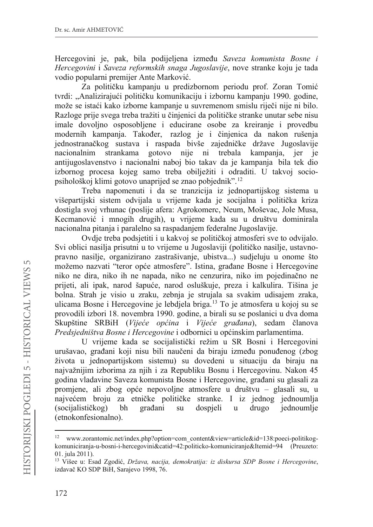Hercegovini je, pak, bila podijeljena između Saveza komunista Bosne i *Hercegovini* i *Saveza reformskih snaga Jugoslavije*, nove stranke koju je tada vodio popularni premijer Ante Marković.

Za političku kampanju u predizbornom periodu prof. Zoran Tomić tvrdi: "Analizirajući političku komunikaciju i izbornu kampanju 1990. godine, može se istaći kako izborne kampanje u suvremenom smislu riječi nije ni bilo. Razloge prije svega treba tražiti u činjenici da političke stranke unutar sebe nisu imale dovoljno osposobljene i educirane osobe za kreiranje i provedbu modernih kampanja. Također, razlog je i činjenica da nakon rušenja jednostranačkog sustava i raspada bivše zajedničke države Jugoslavije nacionalnim strankama gotovo nije ni trebala kampanja, jer je antijugoslavenstvo i nacionalni naboj bio takav da je kampanja bila tek dio izbornog procesa kojeg samo treba obilježiti i odraditi. U takvoj sociopsihološkoj klimi gotovo unaprijed se znao pobjednik".12

Treba napomenuti i da se tranzicija iz jednopartijskog sistema u višepartijski sistem odvijala u vrijeme kada je socijalna i politička kriza dostigla svoj vrhunac (poslije afera: Agrokomerc, Neum, Moševac, Jole Musa, Kecmanović i mnogih drugih), u vrijeme kada su u društvu dominirala nacionalna pitanja i paralelno sa raspadanjem federalne Jugoslavije.

Ovdje treba podsjetiti i u kakvoj se političkoj atmosferi sve to odvijalo. Svi oblici nasilja prisutni u to vrijeme u Jugoslaviji (političko nasilje, ustavnopravno nasilje, organizirano zastrašivanje, ubistva...) sudjeluju u onome što možemo nazvati "teror opće atmosfere". Istina, građane Bosne i Hercegovine niko ne dira, niko ih ne napada, niko ne cenzurira, niko im pojedinačno ne prijeti, ali ipak, narod šapuće, narod osluškuje, preza i kalkulira. Tišina je bolna. Strah je visio u zraku, zebnja je strujala sa svakim udisajem zraka, ulicama Bosne i Hercegovine je lebdjela briga.13 To je atmosfera u kojoj su se provodili izbori 18. novembra 1990. godine, a birali su se poslanici u dva doma Skupštine SRBiH (Vijeće općina i Vijeće građana), sedam članova *Predsjedništva Bosne i Hercegovine* i odbornici u općinskim parlamentima.

U vrijeme kada se socijalistički režim u SR Bosni i Hercegovini urušavao, građani koji nisu bili naučeni da biraju između ponuđenog (zbog života u jednopartijskom sistemu) su dovedeni u situaciju da biraju na najvažnijim izborima za njih i za Republiku Bosnu i Hercegovinu. Nakon 45 godina vladavine Saveza komunista Bosne i Hercegovine, građani su glasali za promjene, ali zbog opće nepovoljne atmosfere u društvu – glasali su, u najvećem broju za etničke političke stranke. I iz jednog jednoumlja (socijalističkog) bh građani su dospjeli u drugo jednoumlje (etnokonfesionalno).

<sup>&</sup>lt;sup>12</sup> www.zorantomic.net/index.php?option=com\_content&view=article&id=138:poeci-politikogkomuniciranja-u-bosni-i-hercegovini&catid=42:politicko-komuniciranje&Itemid=94 (Preuzeto: 01. jula 2011).

<sup>&</sup>lt;sup>13</sup> Višee u: Esad Zgodić, *Država, nacija, demokratija: iz diskursa SDP Bosne i Hercegovine*, izdavač KO SDP BiH, Sarajevo 1998, 76.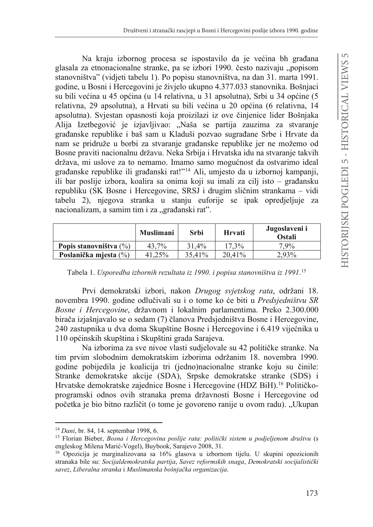Na kraju izbornog procesa se ispostavilo da je većina bh građana glasala za etnonacionalne stranke, pa se izbori 1990. često nazivaju "popisom stanovništva" (vidjeti tabelu 1). Po popisu stanovništva, na dan 31. marta 1991. godine, u Bosni i Hercegovini je živjelo ukupno 4.377.033 stanovnika. Bošnjaci su bili većina u 45 općina (u 14 relativna, u 31 apsolutna), Srbi u 34 općine (5 relativna, 29 apsolutna), a Hrvati su bili većina u 20 općina (6 relativna, 14 apsolutna). Svjestan opasnosti koja proizilazi iz ove činjenice lider Bošnjaka Alija Izetbegović je izjavljivao: "Naša se partija zauzima za stvaranje građanske republike i baš sam u Kladuši pozvao sugrađane Srbe i Hrvate da nam se pridruže u borbi za stvaranje građanske republike jer ne možemo od Bosne praviti nacionalnu državu. Neka Srbija i Hrvatska idu na stvaranje takvih država, mi uslove za to nemamo. Imamo samo mogućnost da ostvarimo ideal građanske republike ili građanski rat!"<sup>14</sup> Ali, umjesto da u izbornoj kampanji, ili bar poslije izbora, koalira sa onima koji su imali za cilj isto – građansku republiku (SK Bosne i Hercegovine, SRSJ i drugim sličnim strankama – vidi tabelu 2), njegova stranka u stanju euforije se ipak opredjeljuje za nacionalizam, a samim tim i za "građanski rat".

|                           | Muslimani | Srbi   | Hrvati  | Jugoslaveni i<br>Ostali |
|---------------------------|-----------|--------|---------|-------------------------|
| Popis stanovništva $(\%)$ | 43.7%     | 31.4%  | 17.3%   | 7.9%                    |
| Poslanička miesta (%)     | 41.25%    | 35.41% | 20.41\% | 2.93%                   |

Tabela 1. *Usporedba izbornih rezultata iz 1990. i popisa stanovništva iz 1991*. 15

Prvi demokratski izbori, nakon *Drugog svjetskog rata*, održani 18. novembra 1990. godine odlučivali su i o tome ko će biti u *Predsjedništvu SR Bosne i Hercegovine*, državnom i lokalnim parlamentima. Preko 2.300.000 birača izjašnjavalo se o sedam (7) članova Predsjedništva Bosne i Hercegovine, 240 zastupnika u dva doma Skupštine Bosne i Hercegovine i 6.419 vijećnika u 110 općinskih skupština i Skupštini grada Sarajeva.

Na izborima za sve nivoe vlasti sudjelovale su 42 političke stranke. Na tim prvim slobodnim demokratskim izborima održanim 18. novembra 1990. godine pobijedila je koalicija tri (jedno)nacionalne stranke koju su činile: Stranke demokratske akcije (SDA), Srpske demokratske stranke (SDS) i Hrvatske demokratske zajednice Bosne i Hercegovine (HDZ BiH).<sup>16</sup> Političkoprogramski odnos ovih stranaka prema državnosti Bosne i Hercegovine od početka je bio bitno različit (o tome je govoreno ranije u ovom radu). "Ukupan

<sup>14</sup> *Dani*, br. 84, 14. septembar 1998, 6.

<sup>&</sup>lt;sup>15</sup> Florian Bieber, *Bosna i Hercegovina poslije rata: politički sistem u podjeljenom društvu* (s engleskog Milena Marić-Vogel), Buybook, Sarajevo 2008, 31.

<sup>16</sup> Opozicija je marginalizovana sa 16% glasova u izbornom tijelu. U skupini opozicionih stranaka bile su: *Socijaldemokratska partija*, *Savez reformskih snaga*, *Demokratski socijalistički*  $savez, Liberalna stranka i Muslimanska bošnjačka organizacija.$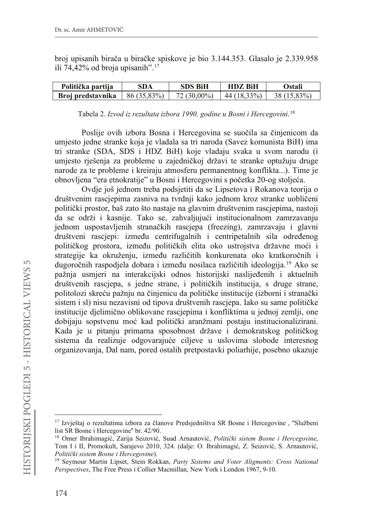broj upisanih birača u biračke spiskove je bio 3.144.353. Glasalo je 2.339.958 ili 74,42% od broja upisanih".17

| Politička partija | SDA         | SDS BiH       | <b>HDZ BiH</b> | Ostali      |
|-------------------|-------------|---------------|----------------|-------------|
| Broj predstavnika | 86 (35.83%) | $72(30.00\%)$ | $44(18.33\%)$  | 38 (15 83%) |

Tabela 2. *Izvod iz rezultata izbora 1990. godine u Bosni i Hercegovini*. 18

Poslije ovih izbora Bosna i Hercegovina se suočila sa činjenicom da umjesto jedne stranke koja je vladala sa tri naroda (Savez komunista BiH) ima tri stranke (SDA, SDS i HDZ BiH) koje vladaju svaka u svom narodu (i umjesto rješenja za probleme u zajedničkoj državi te stranke optužuju druge narode za te probleme i kreiraju atmosferu permanentnog konflikta...). Time je obnovljena "era etnokratije" u Bosni i Hercegovini s početka 20-og stoljeća.

Ovdje još jednom treba podsjetiti da se Lipsetova i Rokanova teorija o društvenim rascjepima zasniva na tvrdnji kako jednom kroz stranke uobličeni politički prostor, baš zato što nastaje na glavnim društvenim rascjepima, nastoji da se održi i kasnije. Tako se, zahvaljujući institucionalnom zamrzavanju jednom uspostavljenih stranačkih rascjepa (freezing), zamrzavaju i glavni društveni rasciepi: između centrifugalnih i centripetalnih sila određenog političkog prostora, između političkih elita oko ustrojstva državne moći i strategije ka okruženju, između različitih konkurenata oko kratkoročnih i dugoročnih raspodjela dobara i između nosilaca različitih ideologija.<sup>19</sup> Ako se pažnja usmjeri na interakcijski odnos historijski naslijeđenih i aktuelnih društvenih rasciepa, s jedne strane, i političkih institucija, s druge strane, politolozi skreću pažnju na činjenicu da političke institucije (izborni i stranački sistem i sl) nisu nezavisni od tipova društvenih rascjepa. Iako su same političke institucije djelimično oblikovane rascjepima i konfliktima u jednoj zemlji, one dobijaju sopstvenu moć kad politički aranžmani postaju institucionalizirani. Kada je u pitanju primarna sposobnost države i demokratskog političkog sistema da realizuje odgovarajuće ciljeve u uslovima slobode interesnog organizovanja, Dal nam, pored ostalih pretpostavki poliarhije, posebno ukazuje

<sup>&</sup>lt;sup>17</sup> Izvještaj o rezultatima izbora za članove Predsjedništva SR Bosne i Hercegovine , "Službeni list SR Bosne i Hercegovine'' br. 42/90.

<sup>&</sup>lt;sup>18</sup> Omer Ibrahimagić, Zarija Seizović, Suad Arnautović, *Politički sistem Bosne i Hercegovine*, Tom I i II, Promokult, Sarajevo 2010, 324. (dalje: O. Ibrahimagić, Z. Seizović, S. Arnautović, Politički sistem Bosne i Hercegovine).

<sup>19</sup> Seymour Martin Lipset, Stein Rokkan, *Party Sistems and Voter Aligments: Cross National Perspectives*, The Free Press i Collier Macmillan, New York i London 1967, 9-10.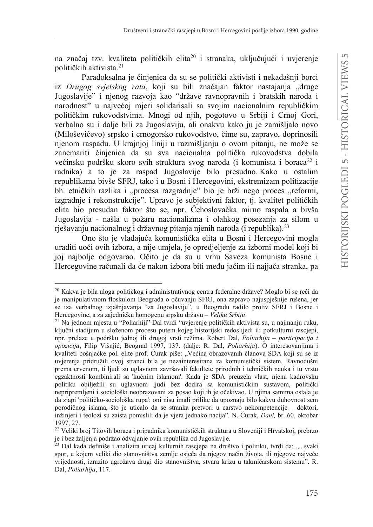na značaj tzv. kvaliteta političkih elita<sup>20</sup> i stranaka, uključujući i uvjerenje političkih aktivista.<sup>21</sup>

Paradoksalna je činjenica da su se politički aktivisti i nekadašnji borci iz *Drugog svjetskog rata*, koji su bili značajan faktor nastajanja "druge Jugoslavije" i njenog razvoja kao "države ravnopravnih i bratskih naroda i narodnost" u najvećoj mjeri solidarisali sa svojim nacionalnim republičkim političkim rukovodstvima. Mnogi od njih, pogotovo u Srbiji i Crnoj Gori, verbalno su i dalje bili za Jugoslaviju, ali onakvu kako ju je zamišljalo novo (Miloševićevo) srpsko i crnogorsko rukovodstvo, čime su, zapravo, doprinosili njenom raspadu. U krajnjoj liniji u razmišljanju o ovom pitanju, ne može se zanemariti činjenica da su sva nacionalna politička rukovodstva dobila većinsku podršku skoro svih struktura svog naroda (i komunista i boraca<sup>22</sup> i radnika) a to je za raspad Jugoslavije bilo presudno. Kako u ostalim republikama bivše SFRJ, tako i u Bosni i Hercegovini, ekstremizam politizacije bh. etničkih razlika i "procesa razgradnje" bio je brži nego proces "reformi, izgradnje i rekonstrukcije". Upravo je subjektivni faktor, tj. kvalitet političkih elita bio presudan faktor što se, npr. Čehoslovačka mirno raspala a bivša Jugoslavija - našla u požaru nacionalizma i olahkog posezanja za silom u rješavanju nacionalnog i državnog pitanja njenih naroda (i republika).<sup>23</sup>

Ono što je vladajuća komunistička elita u Bosni i Hercegovini mogla uraditi uoči ovih izbora, a nije umjela, je opredjeljenje za izborni model koji bi joj najbolje odgovarao. Očito je da su u vrhu Saveza komunista Bosne i Hercegovine računali da će nakon izbora biti među jačim ili najjača stranka, pa

<sup>&</sup>lt;sup>20</sup> Kakva je bila uloga političkog i administrativnog centra federalne države? Moglo bi se reći da je manipulativnom floskulom Beograda o očuvanju SFRJ, ona zapravo najuspješnije rušena, jer se iza verbalnog izjašnjavanja "za Jugoslaviju", u Beogradu radilo protiv SFRJ i Bosne i Hercegovine, a za zajedničku homogenu srpsku državu – Veliku Srbiju.

 $21$  Na jednom mjestu u "Poliarhiji" Dal tvrdi "uvjerenje političkih aktivista su, u najmanju ruku, ključni stadijum u složenom procesu putem kojeg historijski redoslijedi ili potkulturni rascjepi, npr. prelaze u podršku jednoj ili drugoj vrsti režima. Robert Dal, *Poliarhija – participacija i opozicija*, Filip Višnjić, Beograd 1997, 137. (dalje: R. Dal, *Poliarhija*). O interesovanjima i kvaliteti bošnjačke pol. elite prof. Ćurak piše: "Većina obrazovanih članova SDA koji su se iz uvjerenja pridružili ovoj stranci bila je nezainteresirana za komunistički sistem. Ravnodušni prema crvenom, ti ljudi su uglavnom završavali fakultete prirodnih i tehničkih nauka i tu vrstu egzaktnosti kombinirali sa 'kućnim islamom'. Kada je SDA preuzela vlast, njenu kadrovsku politiku obilježili su uglavnom ljudi bez dodira sa komunističkim sustavom, politički nepripremljeni i sociološki neobrazovani za posao koji ih je očekivao. U njima samima ostala je da zjapi 'političko-sociološka rupa': oni nisu imali prilike da upoznaju bilo kakvu duhovnost sem porodičnog islama, što je uticalo da se stranka pretvori u carstvo nekompetencije – doktori, inžinjeri i teolozi su zaista pomislili da je vjera jednako nacija". N. Ćurak, Dani, br. 60, oktobar 1997, 27.

<sup>&</sup>lt;sup>22</sup> Veliki broj Titovih boraca i pripadnika komunističkih struktura u Sloveniji i Hrvatskoj, prebrzo je i bez žaljenja podržao odvajanje ovih republika od Jugoslavije.

<sup>&</sup>lt;sup>23</sup> Dal kada definiše i analizira uticaj kulturnih rascjepa na društvo i politiku, tvrdi da: "...svaki spor, u kojem veliki dio stanovništva zemlje osjeća da njegov način života, ili njegove najveće vrijednosti, izrazito ugrožava drugi dio stanovništva, stvara krizu u takmičarskom sistemu". R. Dal, *Poliarhija*, 117.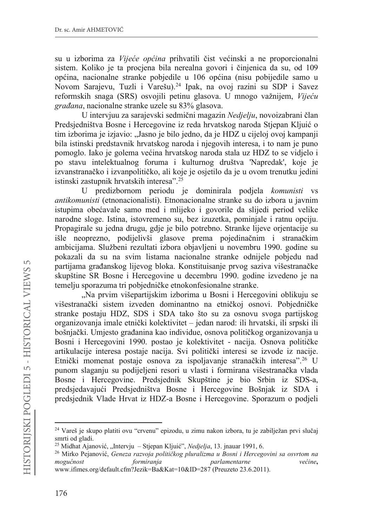su u izborima za *Vijeće općina* prihvatili čist većinski a ne proporcionalni sistem. Koliko je ta procjena bila nerealna govori i činjenica da su, od 109 općina, nacionalne stranke pobjedile u 106 općina (nisu pobijedile samo u Novom Sarajevu, Tuzli i Varešu).24 Ipak, na ovoj razini su SDP i Savez reformskih snaga (SRS) osvojili petinu glasova. U mnogo važnijem, Vijeću *graÿana*, nacionalne stranke uzele su 83% glasova.

U intervjuu za sarajevski sedmični magazin Nedjelju, novoizabrani član Predsjedništva Bosne i Hercegovine iz reda hrvatskog naroda Stjepan Kljuić o tim izborima je izjavio: "Jasno je bilo jedno, da je HDZ u cijeloj ovoj kampanji bila istinski predstavnik hrvatskog naroda i njegovih interesa, i to nam je puno pomoglo. Iako je golema većina hrvatskog naroda stala uz HDZ to se vidjelo i po stavu intelektualnog foruma i kulturnog društva 'Napredak', koje je izvanstranačko i izvanpolitičko, ali koje je osjetilo da je u ovom trenutku jedini istinski zastupnik hrvatskih interesa".25

U predizbornom periodu je dominirala podjela *komunisti* vs *antikomunisti* (etnonacionalisti). Etnonacionalne stranke su do izbora u javnim istupima obećavale samo med i mlijeko i govorile da slijedi period velike narodne sloge. Istina, istovremeno su, bez izuzetka, pominjale i ratnu opciju. Propagirale su jedna drugu, gdje je bilo potrebno. Stranke lijeve orjentacije su išle neoprezno, podijelivši glasove prema pojedinačnim i stranačkim ambicijama. Službeni rezultati izbora objavljeni u novembru 1990. godine su pokazali da su na svim listama nacionalne stranke odnijele pobjedu nad partijama građanskog lijevog bloka. Konstituisanje prvog saziva višestranačke skupštine SR Bosne i Hercegovine u decembru 1990. godine izvedeno je na temelju sporazuma tri pobjedničke etnokonfesionalne stranke.

"Na prvim višepartijskim izborima u Bosni i Hercegovini oblikuju se višestranački sistem izveden dominantno na etničkoj osnovi. Pobjedničke stranke postaju HDZ, SDS i SDA tako što su za osnovu svoga partijskog organizovanja imale etnički kolektivitet – jedan narod: ili hrvatski, ili srpski ili bošnjački. Umjesto građanina kao individue, osnova političkog organizovanja u Bosni i Hercegovini 1990. postao je kolektivitet - nacija. Osnova političke artikulacije interesa postaje nacija. Svi politički interesi se izvode iz nacije. Etnički momenat postaje osnova za ispoljavanje stranačkih interesa".<sup>26</sup> U punom slaganju su podijeljeni resori u vlasti i formirana višestranačka vlada Bosne i Hercegovine. Predsjednik Skupštine je bio Srbin iz SDS-a, predsjedavajući Predsjedništva Bosne i Hercegovine Bošnjak iz SDA i predsjednik Vlade Hrvat iz HDZ-a Bosne i Hercegovine. Sporazum o podjeli

<sup>&</sup>lt;sup>24</sup> Vareš je skupo platiti ovu "crvenu" epizodu, u zimu nakon izbora, tu je zabilježan prvi slučaj smrti od gladi.

<sup>&</sup>lt;sup>25</sup> Midhat Ajanović, "Intervju – Stjepan Kljuić", *Nedjelja*, 13. jnauar 1991, 6.

<sup>&</sup>lt;sup>26</sup> Mirko Pejanović, Geneza razvoja političkog pluralizma u Bosni i Hercegovini sa osvrtom na *PRIXIMDD PRIXUPLUDD <i>PRIXUPLUDDDIGMDD IRUPLUDD Vectine*,

www.ifimes.org/default.cfm?Jezik=Ba&Kat=10&ID=287 (Preuzeto 23.6.2011).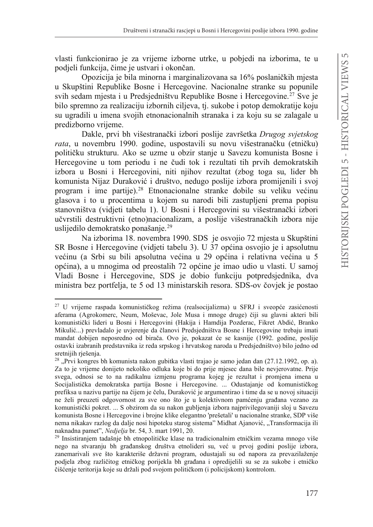vlasti funkcionirao je za vrijeme izborne utrke, u pobjedi na izborima, te u podjeli funkcija, čime je ustvari i okončan.

Opozicija je bila minorna i marginalizovana sa 16% poslaničkih miesta u Skupštini Republike Bosne i Hercegovine. Nacionalne stranke su popunile svih sedam miesta i u Predsjedništvu Republike Bosne i Hercegovine.<sup>27</sup> Sve je bilo spremno za realizaciju izbornih ciljeva, tj. sukobe i potop demokratije koju su ugradili u imena svojih etnonacionalnih stranaka i za koju su se zalagale u predizborno vrijeme.

Dakle, prvi bh višestranački izbori poslije završetka *Drugog svjetskog* rata, u novembru 1990. godine, uspostavili su novu višestranačku (etničku) političku strukturu. Ako se uzme u obzir stanje u Savezu komunista Bosne i Hercegovine u tom periodu i ne čudi tok i rezultati tih prvih demokratskih izbora u Bosni i Hercegovini, niti njihov rezultat (zbog toga su, lider bh komunista Nijaz Duraković i društvo, nedugo poslije izbora promijenili i svoj program i ime partije).<sup>28</sup> Etnonacionalne stranke dobile su veliku većinu glasova i to u procentima u kojem su narodi bili zastupljeni prema popisu stanovništva (vidjeti tabelu 1). U Bosni i Hercegovini su višestranački izbori učvrstili destruktivni (etno)nacionalizam, a poslije višestranačkih izbora nije uslijedilo demokratsko ponašanje.<sup>29</sup>

Na izborima 18. novembra 1990. SDS je osvojio 72 mjesta u Skupštini SR Bosne i Hercegovine (vidjeti tabelu 3). U 37 općina osvojio je i apsolutnu većinu (a Srbi su bili apsolutna većina u 29 općina i relativna većina u 5 općina), a u mnogima od preostalih 72 općine je imao udio u vlasti. U samoj Vladi Bosne i Hercegovine, SDS je dobio funkciju potpredsjednika, dva ministra bez portfelja, te 5 od 13 ministarskih resora. SDS-ov čovjek je postao

<sup>&</sup>lt;sup>27</sup> U vrijeme raspada komunističkog režima (realsocijalizma) u SFRJ i sveopće zasićenosti aferama (Agrokomerc, Neum, Moševac, Jole Musa i mnoge druge) čiji su glavni akteri bili komunistički lideri u Bosni i Hercegovini (Hakija i Hamdija Pozderac, Fikret Abdić, Branko Mikulić...) prevladalo je uvjerenje da članovi Predsjedništva Bosne i Hercegovine trebaju imati mandat dobijen neposredno od birača. Ovo je, pokazat će se kasnije (1992. godine, poslije ostavki izabranih predstavnika iz reda srpskog i hrvatskog naroda u Predsjedništvo) bilo jedno od sretnijih rješenja.

<sup>&</sup>lt;sup>28</sup> "Prvi kongres bh komunista nakon gubitka vlasti trajao je samo jedan dan (27.12.1992, op. a). Za to je vrijeme donijeto nekoliko odluka koje bi do prije mjesec dana bile nevjerovatne. Prije svega, odnosi se to na radikalnu izmjenu programa kojeg je rezultat i promjena imena u Socijalistička demokratska partija Bosne i Hercegovine. ... Odustajanje od komunističkog prefiksa u nazivu partije na čijem je čelu, Duraković je argumentirao i time da se u novoj situaciji ne želi preuzeti odgovornost za sve ono što je u kolektivnom pamćenju građana vezano za komunistički pokret. ... S obzirom da su nakon gubljenja izbora najprivilegovaniji sloj u Savezu komunista Bosne i Hercegovine i brojne klike elegantno 'prešetali' u nacionalne stranke, SDP više nema nikakav razlog da dalje nosi hipoteku starog sistema" Midhat Ajanović, "Transformacija ili naknadna pamet", *Nedjelja* br. 54, 3. mart 1991, 20.

<sup>&</sup>lt;sup>29</sup> Insistiranjem tadašnje bh etnopolitičke klase na tradicionalnim etničkim vezama mnogo više nego na stvaranju bh građanskog društva etnolideri su, već u prvoj godini poslije izbora, zanemarivali sve što karakteriše državni program, odustajali su od napora za prevazilaženje podjela zbog različitog etničkog porijekla bh građana i opredijelili su se za sukobe i etničko čišćenje teritorija koje su držali pod svojom političkom (i policijskom) kontrolom.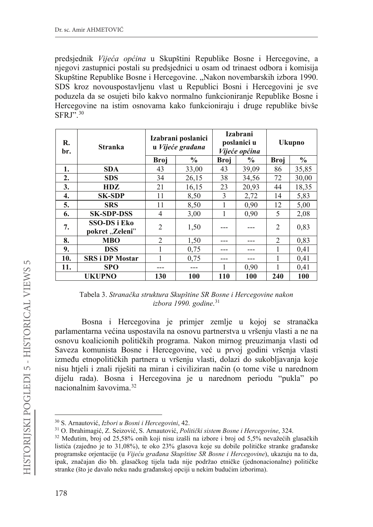predsjednik *Vijeća općina* u Skupštini Republike Bosne i Hercegovine, a njegovi zastupnici postali su predsjednici u osam od trinaest odbora i komisija Skupštine Republike Bosne i Hercegovine. "Nakon novembarskih izbora 1990. SDS kroz novouspostavljenu vlast u Republici Bosni i Hercegovini je sve poduzela da se osujeti bilo kakvo normalno funkcioniranje Republike Bosne i Hercegovine na istim osnovama kako funkcioniraju i druge republike bivše SFRJ".30

| R.<br>br.        | Stranka                                | Izabrani poslanici<br>u Vijeće građana |               | <b>Izabrani</b><br>poslanici u<br><i>Vijeće općina</i> |       | <b>Ukupno</b>  |               |
|------------------|----------------------------------------|----------------------------------------|---------------|--------------------------------------------------------|-------|----------------|---------------|
|                  |                                        | <b>Broj</b>                            | $\frac{0}{0}$ | <b>Broi</b>                                            | $\%$  | <b>Broi</b>    | $\frac{6}{9}$ |
| 1.               | <b>SDA</b>                             | 43                                     | 33,00         | 43                                                     | 39,09 | 86             | 35,85         |
| $\overline{2}$ . | <b>SDS</b>                             | 34                                     | 26,15         | 38                                                     | 34,56 | 72             | 30,00         |
| 3.               | <b>HDZ</b>                             | 21                                     | 16,15         | 23                                                     | 20,93 | 44             | 18,35         |
| 4.               | <b>SK-SDP</b>                          | 11                                     | 8,50          | 3                                                      | 2,72  | 14             | 5,83          |
| 5.               | <b>SRS</b>                             | 11                                     | 8,50          | 1                                                      | 0,90  | 12             | 5,00          |
| 6.               | <b>SK-SDP-DSS</b>                      | 4                                      | 3,00          | 1                                                      | 0,90  | 5              | 2,08          |
| 7.               | <b>SSO-DS</b> i Eko<br>pokret "Zeleni" | $\mathfrak{D}$                         | 1,50          |                                                        |       | $\mathfrak{D}$ | 0,83          |
| 8.               | <b>MBO</b>                             | $\overline{2}$                         | 1,50          |                                                        |       | $\mathfrak{D}$ | 0.83          |
| 9.               | <b>DSS</b>                             |                                        | 0.75          |                                                        |       |                | 0,41          |
| 10.              | <b>SRS</b> i DP Mostar                 |                                        | 0.75          |                                                        |       | 1              | 0,41          |
| 11.              | <b>SPO</b>                             |                                        | ---           |                                                        | 0,90  |                | 0.41          |
|                  | <b>UKUPNO</b>                          | 130                                    | 100           | 110                                                    | 100   | 240            | 100           |

Tabela 3. *Stranačka struktura Skupštine SR Bosne i Hercegovine nakon izbora 1990. godine*. 31

Bosna i Hercegovina je primjer zemlje u kojoj se stranačka parlamentarna većina uspostavila na osnovu partnerstva u vršenju vlasti a ne na osnovu koalicionih političkih programa. Nakon mirnog preuzimanja vlasti od Saveza komunista Bosne i Hercegovine, već u prvoj godini vršenja vlasti između etnopolitičkih partnera u vršenju vlasti, dolazi do sukobljavanja koje nisu htjeli i znali riješiti na miran i civiliziran način (o tome više u narednom dijelu rada). Bosna i Hercegovina je u narednom periodu "pukla" po nacionalnim šavovima.32

<sup>&</sup>lt;sup>30</sup> S. Arnautović, *Izbori u Bosni i Hercegovini*, 42.

<sup>&</sup>lt;sup>31</sup> O. Ibrahimagić, Z. Seizović, S. Arnautović, Politički sistem Bosne i Hercegovine, 324.

 $32$  Međutim, broj od 25,58% onih koji nisu izašli na izbore i broj od 5,5% nevažećih glasačkih listića (zajedno je to 31,08%), te oko 23% glasova koje su dobile političke stranke građanske programske orjentacije (u *Vijeću građana Skupštine SR Bosne i Hercegovine*), ukazuju na to da, ipak, značajan dio bh. glasačkog tijela tada nije podržao etničke (jednonacionalne) političke stranke (što je davalo neku nadu građanskoj opciji u nekim budućim izborima).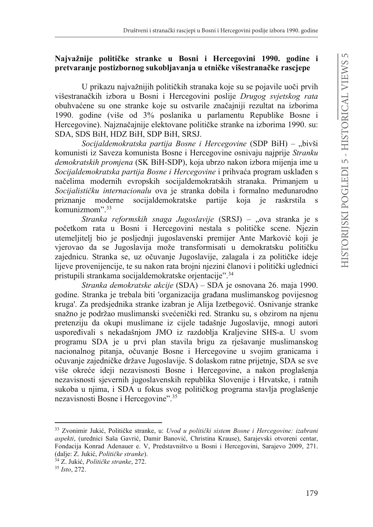### **1DMYDåQLMH SROLWLþNH VWUDQNH X %osni i Hercegovini 1990. godine i** pretvaranje postizbornog sukobljavanja u etničke višestranačke rascjepe

U prikazu najvažnijih političkih stranaka koje su se pojavile uoči prvih višestranačkih izbora u Bosni i Hercegovini poslije *Drugog svjetskog rata* obuhvaćene su one stranke koje su ostvarile značajniji rezultat na izborima 1990. godine (više od 3% poslanika u parlamentu Republike Bosne i Hercegovine). Najznačajnije elektovane političke stranke na izborima 1990. su: SDA, SDS BiH, HDZ BiH, SDP BiH, SRSJ.

*Socijaldemokratska partija Bosne i Hercegovine* (SDP BiH) – "bivši komunisti iz Saveza komunista Bosne i Hercegovine osnivaju najprije *Stranku demokratskih promjena* (SK BiH-SDP), koja ubrzo nakon izbora mijenja ime u *Socijaldemokratska partija Bosne i Hercegovine* i prihvaća program usklađen s načelima modernih evropskih socijaldemokratskih stranaka. Primanjem u *Socijalističku internacionalu* ova je stranka dobila i formalno međunarodno priznanje moderne socijaldemokratske partije koja je raskrstila s priznanje moderne socijaldemokratske partije koja je raskrstila s komunizmom".33

*Stranka reformskih snaga Jugoslavije* (SRSJ) – "ova stranka je s početkom rata u Bosni i Hercegovini nestala s političke scene. Njezin utemeljitelj bio je posljednji jugoslavenski premijer Ante Marković koji je vjerovao da se Jugoslavija može transformisati u demokratsku političku zajednicu. Stranka se, uz očuvanje Jugoslavije, zalagala i za političke ideje lijeve provenijencije, te su nakon rata brojni njezini članovi i politički uglednici pristupili strankama socijaldemokratske orjentacije".34

*Stranka demokratske akcije* (SDA) – SDA je osnovana 26. maja 1990. godine. Stranka je trebala biti 'organizacija građana muslimanskog povijesnog kruga'. Za predsjednika stranke izabran je Alija Izetbegović. Osnivanje stranke snažno je podržao muslimanski svećenički red. Stranku su, s obzirom na njenu pretenziju da okupi muslimane iz cijele tadašnje Jugoslavije, mnogi autori uspoređivali s nekadašnjom JMO iz razdoblja Kraljevine SHS-a. U svom programu SDA je u prvi plan stavila brigu za rješavanje muslimanskog nacionalnog pitanja, očuvanje Bosne i Hercegovine u svojim granicama i očuvanje zajedničke države Jugoslavije. S dolaskom ratne prijetnje, SDA se sve više okreće ideji nezavisnosti Bosne i Hercegovine, a nakon proglašenja nezavisnosti sjevernih jugoslavenskih republika Slovenije i Hrvatske, i ratnih sukoba u njima, i SDA u fokus svog političkog programa stavlja proglašenje nezavisnosti Bosne i Hercegovine".35

<sup>&</sup>lt;sup>33</sup> Zvonimir Jukić, Političke stranke, u: *Uvod u politički sistem Bosne i Hercegovine: izabrani* aspekti, (urednici Saša Gavrić, Damir Banović, Christina Krause), Sarajevski otvoreni centar, Fondacija Konrad Adenauer e. V, Predstavništvo u Bosni i Hercegovini, Sarajevo 2009, 271. (dalje: Z. Jukić, Političke stranke).

<sup>&</sup>lt;sup>34</sup> Z. Jukić, Političke stranke, 272.

<sup>35</sup> *Isto*, 272.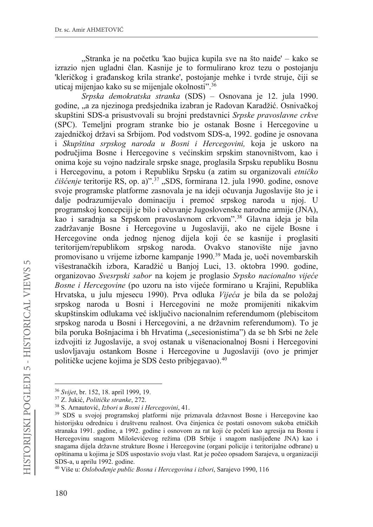"Stranka je na početku 'kao bujica kupila sve na što naiđe' – kako se izrazio njen ugladni član. Kasnije je to formulirano kroz tezu o postojanju 'kleričkog i građanskog krila stranke', postojanje mehke i tvrde struje, čiji se uticaj mijenjao kako su se mijenjale okolnosti".36

*Srpska demokratska stranka* (SDS) – Osnovana je 12. jula 1990. godine, "a za njezinoga predsjednika izabran je Radovan Karadžić. Osnivačkoj skupštini SDS-a prisustvovali su brojni predstavnici *Srpske pravoslavne crkve* (SPC). Temeljni program stranke bio je ostanak Bosne i Hercegovine u zajedničkoj državi sa Srbijom. Pod vodstvom SDS-a, 1992. godine je osnovana i *Skupština srpskog naroda u Bosni i Hercegovini,* koja je uskoro na područjima Bosne i Hercegovine s većinskim srpskim stanovništvom, kao i onima koje su vojno nadzirale srpske snage, proglasila Srpsku republiku Bosnu i Hercegovinu, a potom i Republiku Srpsku (a zatim su organizovali *etničko* čišćenje teritorije RS, op. a)".<sup>37</sup> "SDS, formirana 12. jula 1990. godine, osnove svoje programske platforme zasnovala je na ideji očuvanja Jugoslavije što je i dalje podrazumijevalo dominaciju i premoć srpskog naroda u njoj. U programskoj koncepciji je bilo i očuvanje Jugoslovenske narodne armije (JNA), kao i saradnja sa Srpskom pravoslavnom crkvom".38 Glavna ideja je bila zadržavanje Bosne i Hercegovine u Jugoslaviji, ako ne cijele Bosne i Hercegovine onda jednog njenog dijela koji će se kasnije i proglasiti teritorijem/republikom srpskog naroda. Ovakvo stanovište nije javno promovisano u vrijeme izborne kampanje 1990.<sup>39</sup> Mada je, uoči novembarskih višestranačkih izbora, Karadžić u Banjoj Luci, 13. oktobra 1990. godine, organizovao *Svesrpski sabor* na kojem je proglasio *Srpsko nacionalno vijeće Bosne i Hercegovine* (po uzoru na isto vijeće formirano u Krajini, Republika Hrvatska, u julu mjesecu 1990). Prva odluka *Vijeća* je bila da se položaj srpskog naroda u Bosni i Hercegovini ne može promijeniti nikakvim skupštinskim odlukama već isključivo nacionalnim referendumom (plebiscitom srpskog naroda u Bosni i Hercegovini, a ne državnim referendumom). To je bila poruka Bošnjacima i bh Hrvatima ("secesionistima") da se bh Srbi ne žele izdvojiti iz Jugoslavije, a svoj ostanak u višenacionalnoj Bosni i Hercegovini uslovljavaju ostankom Bosne i Hercegovine u Jugoslaviji (ovo je primjer političke ucjene kojima je SDS često pribjegavao).<sup>40</sup>

<sup>36</sup> *Svijet*, br. 152, 18. april 1999, 19.

<sup>&</sup>lt;sup>37</sup> Z. Jukić, Političke stranke, 272.

<sup>&</sup>lt;sup>38</sup> S. Arnautović, *Izbori u Bosni i Hercegovini*, 41.

<sup>39</sup> SDS u svojoj programskoj platformi nije priznavala državnost Bosne i Hercegovine kao historijsku odrednicu i društvenu realnost. Ova činjenica će postati osnovom sukoba etničkih stranaka 1991. godine, a 1992. godine i osnovom za rat koji će početi kao agresija na Bosnu i Hercegovinu snagom Miloševićevog režima (DB Srbije i snagom naslijeđene JNA) kao i snagama dijela državne strukture Bosne i Hercegovine (organi policije i teritorijalne odbrane) u opštinama u kojima je SDS uspostavio svoju vlast. Rat je počeo opsadom Sarajeva, u organizaciji SDS-a, u aprilu 1992. godine.

<sup>&</sup>lt;sup>40</sup> Više u: *Oslobođenje public Bosna i Hercegovina i izbori*, Sarajevo 1990, 116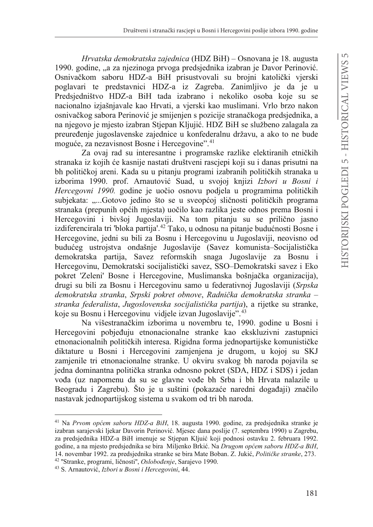*Hrvatska demokratska zajednica* (HDZ BiH) – Osnovana je 18. augusta 1990. godine, "a za njezinoga prvoga predsjednika izabran je Davor Perinović. Osnivačkom saboru HDZ-a BiH prisustvovali su brojni katolički vjerski poglavari te predstavnici HDZ-a iz Zagreba. Zanimljivo je da je u Predsjedništvo HDZ-a BiH tada izabrano i nekoliko osoba koje su se nacionalno izjašnjavale kao Hrvati, a vjerski kao muslimani. Vrlo brzo nakon osnivačkog sabora Perinović je smijenjen s pozicije stranačkoga predsjednika, a na njegovo je mjesto izabran Stjepan Kljujić. HDZ BiH se službeno zalagala za preuređenje jugoslavenske zajednice u konfederalnu državu, a ako to ne bude moguće, za nezavisnost Bosne i Hercegovine".<sup>41</sup>

Za ovaj rad su interesantne i programske razlike elektiranih etničkih stranaka iz kojih će kasnije nastati društveni rascjepi koji su i danas prisutni na bh političkoj areni. Kada su u pitanju programi izabranih političkih stranaka u izborima 1990. prof. Arnautović Suad, u svojoj knjizi *Izbori u Bosni i Hercegovni 1990.* godine je uočio osnovu podjela u programima političkih subjekata: "...Gotovo jedino što se u sveopćoj sličnosti političkih programa stranaka (prepunih općih mjesta) uočilo kao razlika jeste odnos prema Bosni i Hercegovini i bivšoj Jugoslaviji. Na tom pitanju su se prilično jasno izdiferencirala tri 'bloka partija'.<sup>42</sup> Tako, u odnosu na pitanje budućnosti Bosne i Hercegovine, jedni su bili za Bosnu i Hercegovinu u Jugoslaviji, neovisno od budućeg ustrojstva ondašnje Jugoslavije (Savez komunista–Socijalistička demokratska partija, Savez reformskih snaga Jugoslavije za Bosnu i Hercegovinu, Demokratski socijalistički savez, SSO–Demokratski savez i Eko pokret 'Zeleni' Bosne i Hercegovine, Muslimanska bošnjačka organizacija), drugi su bili za Bosnu i Hercegovinu samo u federativnoj Jugoslaviji (*Srpska demokratska stranka, Srpski pokret obnove, Radnička demokratska stranka – stranka federalista, Jugoslovenska socijalistička partija*), a rijetke su stranke, koje su Bosnu i Hercegovinu vidjele izvan Jugoslavije".43

Na višestranačkim izborima u novembru te, 1990. godine u Bosni i Hercegovini pobjeđuju etnonacionalne stranke kao ekskluzivni zastupnici etnonacionalnih političkih interesa. Rigidna forma jednopartijske komunističke diktature u Bosni i Hercegovini zamjenjena je drugom, u kojoj su SKJ zamjenile tri etnonacionalne stranke. U okviru svakog bh naroda pojavila se jedna dominantna politička stranka odnosno pokret (SDA, HDZ i SDS) i jedan vođa (uz napomenu da su se glavne vođe bh Srba i bh Hrvata nalazile u Beogradu i Zagrebu). Što je u suštini (pokazaće naredni događaji) značilo nastavak jednopartijskog sistema u svakom od tri bh naroda.

<sup>&</sup>lt;sup>41</sup> Na *Prvom općem saboru HDZ-a BiH*, 18. augusta 1990. godine, za predsjednika stranke je izabran sarajevski ljekar Davorin Perinović. Mjesec dana poslije (7. septembra 1990) u Zagrebu, za predsjednika HDZ-a BiH imenuje se Stjepan Kljuić koji podnosi ostavku 2. februara 1992. godine, a na mjesto predsjednika se bira Miljenko Brkić. Na Drugom općem saboru HDZ-a BiH, 14. novembar 1992. za predsjednika stranke se bira Mate Boban. Z. Jukić, Političke stranke, 273. <sup>42</sup> "Stranke, programi, ličnosti", Oslobođenje, Sarajevo 1990. I I

<sup>&</sup>lt;sup>43</sup> S. Arnautović, *Izbori u Bosni i Hercegovini*, 44.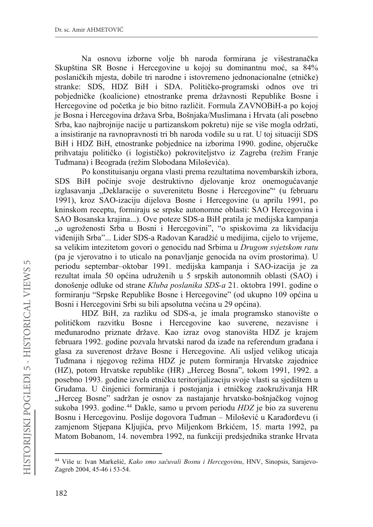Na osnovu izborne volje bh naroda formirana je višestranačka Skupština SR Bosne i Hercegovine u kojoj su dominantnu moć, sa 84% poslaničkih mjesta, dobile tri narodne i istovremeno jednonacionalne (etničke) stranke: SDS, HDZ BiH i SDA. Političko-programski odnos ove tri pobjedničke (koalicione) etnostranke prema državnosti Republike Bosne i Hercegovine od početka je bio bitno različit. Formula ZAVNOBiH-a po kojoj je Bosna i Hercegovina država Srba, Bošnjaka/Muslimana i Hrvata (ali posebno Srba, kao najbrojnije nacije u partizanskom pokretu) nije se više mogla održati, a insistiranje na ravnopravnosti tri bh naroda vodile su u rat. U toj situaciji SDS BiH i HDZ BiH, etnostranke pobjednice na izborima 1990. godine, objeručke prihvataju političko (i logističko) pokroviteljstvo iz Zagreba (režim Franje Tuđmana) i Beograda (režim Slobodana Miloševića).

Po konstituisanju organa vlasti prema rezultatima novembarskih izbora, SDS BiH počinje svoje destruktivno djelovanje kroz onemogućavanje izglasavanja "Deklaracije o suverenitetu Bosne i Hercegovine'" (u februaru 1991), kroz SAO-izaciju dijelova Bosne i Hercegovine (u aprilu 1991, po kninskom receptu, formiraju se srpske autonomne oblasti: SAO Hercegovina i SAO Bosanska krajina...). Ove poteze SDS-a BiH pratila je medijska kampanja "o ugroženosti Srba u Bosni i Hercegovini", "o spiskovima za likvidaciju viđenijih Srba"... Lider SDS-a Radovan Karadžić u medijima, cijelo to vrijeme, sa velikim intezitetom govori o genocidu nad Srbima u *Drugom svjetskom ratu* (pa je vjerovatno i to uticalo na ponavljanje genocida na ovim prostorima). U periodu septembar–oktobar 1991. medijska kampanja i SAO-izacija je za rezultat imala 50 općina udruženih u 5 srpskih autonomnih oblasti (SAO) i donošenje odluke od strane *Kluba poslanika SDS-a* 21. oktobra 1991. godine o formiranju "Srpske Republike Bosne i Hercegovine" (od ukupno 109 općina u Bosni i Hercegovini Srbi su bili apsolutna većina u 29 općina).

HDZ BiH, za razliku od SDS-a, je imala programsko stanovište o političkom razvitku Bosne i Hercegovine kao suverene, nezavisne i međunarodno priznate države. Kao izraz ovog stanovišta HDZ je krajem februara 1992. godine pozvala hrvatski narod da izađe na referendum građana i glasa za suverenost države Bosne i Hercegovine. Ali usljed velikog uticaja Tuđmana i njegovog režima HDZ je putem formiranja Hrvatske zajednice (HZ), potom Hrvatske republike (HR) "Herceg Bosna", tokom 1991, 1992. a posebno 1993. godine izvela etničku teritorijalizaciju svoje vlasti sa sjedištem u Grudama. U činjenici formiranja i postojanja i etničkog zaokruživanja HR "Herceg Bosne" sadržan je osnov za nastajanje hrvatsko-bošnjačkog vojnog sukoba 1993. godine.<sup>44</sup> Dakle, samo u prvom periodu *HDZ* je bio za suverenu Bosnu i Hercegovinu. Poslije dogovora Tuđman – Milošević u Karađorđevu (i zamjenom Stjepana Kljujića, prvo Miljenkom Brkićem, 15. marta 1992, pa Matom Bobanom, 14. novembra 1992, na funkciji predsjednika stranke Hrvata

<sup>&</sup>lt;sup>44</sup> Više u: Ivan Markešić, *Kako smo sačuvali Bosnu i Hercegovinu*, HNV, Sinopsis, Sarajevo-Zagreb 2004, 45-46 i 53-54.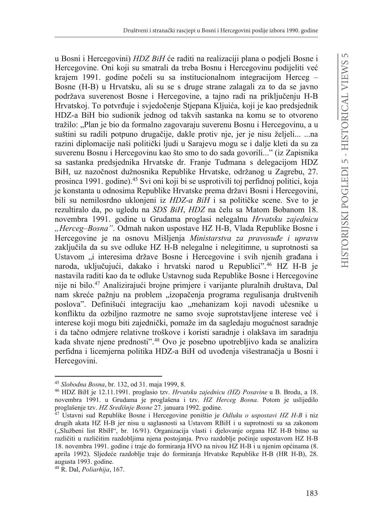u Bosni i Hercegovini) *HDZ BiH* će raditi na realizaciji plana o podjeli Bosne i Hercegovine. Oni koji su smatrali da treba Bosnu i Hercegovinu podijeliti već krajem 1991. godine počeli su sa institucionalnom integracijom Herceg – Bosne (H-B) u Hrvatsku, ali su se s druge strane zalagali za to da se javno podržava suverenost Bosne i Hercegovine, a taino radi na prikliučeniu H-B Hrvatskoj. To potvrđuje i svjedočenje Stjepana Kljuića, koji je kao predsjednik HDZ-a BiH bio sudionik jednog od takvih sastanka na komu se to otvoreno tražilo: "Plan je bio da formalno zagovaraju suverenu Bosnu i Hercegovinu, a u suštini su radili potpuno drugačije, dakle protiv nje, jer je nisu željeli... ...na razini diplomacije naši politički ljudi u Sarajevu mogu se i dalje kleti da su za suverenu Bosnu i Hercegovinu kao što smo to do sada govorili..." (iz Zapisnika sa sastanka predsjednika Hrvatske dr. Franje Tuđmana s delegacijom HDZ BiH, uz nazočnost dužnosnika Republike Hrvatske, održanog u Zagrebu, 27. prosinca 1991. godine).45 Svi oni koji bi se usprotivili toj perfidnoj politici, koja je konstanta u odnosima Republike Hrvatske prema državi Bosni i Hercegovini, bili su nemilosrdno uklonjeni iz *HDZ-a BiH* i sa političke scene. Sve to je rezultiralo da, po ugledu na *SDS BiH*, *HDZ* na čelu sa Matom Bobanom 18. novembra 1991. godine u Grudama proglasi nelegalnu *Hrvatsku zajednicu "Herceg–Bosna"*. Odmah nakon uspostave HZ H-B, Vlada Republike Bosne i Hercegovine je na osnovu Mišljenja *Ministarstva za pravosuđe i upravu* zaključila da su sve odluke HZ H-B nelegalne i nelegitimne, u suprotnosti sa Ustavom "i interesima države Bosne i Hercegovine i svih njenih građana i naroda, uključujući, dakako i hrvatski narod u Republici".<sup>46</sup> HZ H-B je nastavila raditi kao da te odluke Ustavnog suda Republike Bosne i Hercegovine nije ni bilo.<sup>47</sup> Analizirajući brojne primjere i varijante pluralnih društava, Dal nam skreće pažnju na problem "izopačenja programa regulisanja društvenih poslova". Definišući integraciju kao "mehanizam koji navodi učesnike u konfliktu da ozbiljno razmotre ne samo svoje suprotstavljene interese već i interese koji mogu biti zajednički, pomaže im da sagledaju mogućnost saradnje i da tačno odmjere relativne troškove i koristi saradnje i olakšava im saradnju kada shvate njene prednosti".48 Ovo je posebno upotrebljivo kada se analizira perfidna i licemjerna politika HDZ-a BiH od uvođenja višestranačja u Bosni i Hercegovini.

<sup>45</sup> *Slobodna Bosna*, br. 132, od 31. maja 1999, 8.

<sup>46</sup> HDZ BiH je 12.11.1991. proglasio tzv. *Hrvatsku zajednicu (HZ) Posavine* u B. Brodu, a 18. novembra 1991. u Grudama je proglašena i tzv. *HZ Herceg Bosna*. Potom je uslijedilo proglašenje tzv. *HZ Središnje Bosne* 27. januara 1992. godine.

<sup>47</sup> Ustavni sud Republike Bosne i Hercegovine poništio je *Odluku o uspostavi HZ H-B* i niz drugih akata HZ H-B jer nisu u saglasnosti sa Ustavom RBiH i u suprotnosti su sa zakonom ("Službeni list RbiH", br. 16/91). Organizacija vlasti i djelovanje organa HZ H-B bitno su različiti u različitim razdobljima njena postojanja. Prvo razdoblje počinje uspostavom HZ H-B 18. novembra 1991. godine i traje do formiranja HVO na nivou HZ H-B i u njenim općinama (8. aprila 1992). Sljedeće razdoblje traje do formiranja Hrvatske Republike H-B (HR H-B), 28. augusta 1993. godine.

<sup>48</sup> R. Dal, *Poliarhija*, 167.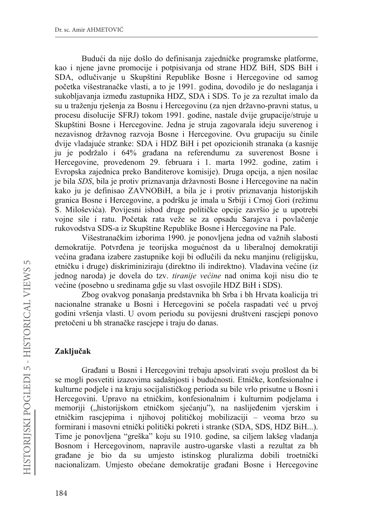Budući da nije došlo do definisania zajedničke programske platforme. kao i njene javne promocije i potpisivanja od strane HDZ BiH, SDS BiH i SDA, odlučivanje u Skupštini Republike Bosne i Hercegovine od samog početka višestranačke vlasti, a to je 1991. godina, dovodilo je do neslaganja i sukobliavania između zastupnika HDZ, SDA i SDS. To je za rezultat imalo da su u traženju rješenja za Bosnu i Hercegovinu (za njen državno-pravni status, u procesu disolucije SFRJ) tokom 1991. godine, nastale dvije grupacije/struje u Skupštini Bosne i Hercegovine. Jedna je struja zagovarala ideju suverenog i nezavisnog državnog razvoja Bosne i Hercegovine. Ovu grupaciju su činile dvije vladajuće stranke: SDA i HDZ BiH i pet opozicionih stranaka (a kasnije ju je podržalo i 64% građana na referendumu za suverenost Bosne i Hercegovine, provedenom 29. februara i 1. marta 1992. godine, zatim i Evropska zajednica preko Banditerove komisije). Druga opcija, a njen nosilac je bila *SDS*, bila je protiv priznavanja državnosti Bosne i Hercegovine na način kako ju je definisao ZAVNOBiH, a bila je i protiv priznavanja historijskih granica Bosne i Hercegovine, a podršku je imala u Srbiji i Crnoj Gori (režimu S. Miloševića). Povijesni ishod druge političke opcije završio je u upotrebi vojne sile i ratu. Početak rata veže se za opsadu Sarajeva i povlačenie rukovodstva SDS-a iz Skupštine Republike Bosne i Hercegovine na Pale.

Višestranačkim izborima 1990. je ponovljena jedna od važnih slabosti demokratije. Potvrđena je teorijska mogućnost da u liberalnoj demokratiji većina građana izabere zastupnike koji bi odlučili da neku manjinu (religijsku, etničku i druge) diskriminiziraju (direktno ili indirektno). Vladavina većine (iz jednog naroda) je dovela do tzv. *tiranije većine* nad onima koji nisu dio te većine (posebno u sredinama gdje su vlast osvojile HDZ BiH i SDS).

Zbog ovakvog ponašanja predstavnika bh Srba i bh Hrvata koalicija tri nacionalne stranake u Bosni i Hercegovini se počela raspadati već u prvoj godini vršenja vlasti. U ovom periodu su povijesni društveni rascjepi ponovo pretočeni u bh stranačke rascjepe i traju do danas.

### $Z$ *Aključak*

Građani u Bosni i Hercegovini trebaju apsolvirati svoju prošlost da bi se mogli posvetiti izazovima sadašnjosti i budućnosti. Etničke, konfesionalne i kulturne podjele i na kraju socijalističkog perioda su bile vrlo prisutne u Bosni i Hercegovini. Upravo na etničkim, konfesionalnim i kulturnim podjelama i memoriji ("historijskom etničkom sjećanju"), na naslijeđenim vjerskim i etničkim rascjepima i njihovoj političkoj mobilizaciji – veoma brzo su formirani i masovni etnički politički pokreti i stranke (SDA, SDS, HDZ BiH...). Time je ponovljena "greška" koju su 1910. godine, sa ciljem lakšeg vladanja Bosnom i Hercegovinom, napravile austro-ugarske vlasti a rezultat za bh građane je bio da su umjesto istinskog pluralizma dobili troetnički nacionalizam. Umjesto obećane demokratije građani Bosne i Hercegovine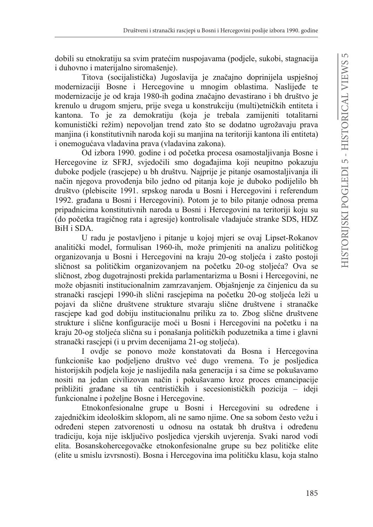dobili su etnokratiju sa svim pratećim nuspojavama (podjele, sukobi, stagnacija i duhovno i materijalno siromašenje).

Titova (socijalistička) Jugoslavija je značajno doprinijela uspješnoj modernizaciji Bosne i Hercegovine u mnogim oblastima. Naslijeđe te modernizacije je od kraja 1980-ih godina značajno devastirano i bh društvo je krenulo u drugom smjeru, prije svega u konstrukciju (multi)etničkih entiteta i kantona. To je za demokratiju (koja je trebala zamijeniti totalitarni komunistički režim) nepovoljan trend zato što se dodatno ugrožavaju prava manjina (i konstitutivnih naroda koji su manjina na teritoriji kantona ili entiteta) i onemogućava vladavina prava (vladavina zakona).

Od izbora 1990. godine i od početka procesa osamostaljivanja Bosne i Hercegovine iz SFRJ, svjedočili smo događajima koji neupitno pokazuju duboke podjele (rascjepe) u bh društvu. Najprije je pitanje osamostaljivanja ili način njegova provođenja bilo jedno od pitanja koje je duboko podijelilo bh društvo (plebiscite 1991. srpskog naroda u Bosni i Hercegovini i referendum 1992. građana u Bosni i Hercegovini). Potom je to bilo pitanje odnosa prema pripadnicima konstitutivnih naroda u Bosni i Hercegovini na teritoriji koju su (do početka tragičnog rata i agresije) kontrolisale vladajuće stranke SDS, HDZ BiH i SDA.

U radu je postavljeno i pitanje u kojoj mjeri se ovaj Lipset-Rokanov analitički model, formulisan 1960-ih, može primjeniti na analizu političkog organizovanja u Bosni i Hercegovini na kraju 20-og stoljeća i zašto postoji sličnost sa političkim organizovanjem na početku 20-og stoljeća? Ova se sličnost, zbog dugotrajnosti prekida parlamentarizma u Bosni i Hercegovini, ne može objasniti institucionalnim zamrzavanjem. Objašnjenje za činjenicu da su stranački rascjepi 1990-ih slični rascjepima na početku 20-og stoljeća leži u pojavi da slične društvene strukture stvaraju slične društvene i stranačke rascjepe kad god dobiju institucionalnu priliku za to. Zbog slične društvene strukture i slične konfiguracije moći u Bosni i Hercegovini na početku i na kraju 20-og stoljeća slična su i ponašanja političkih poduzetnika a time i glavni stranački rascjepi (i u prvim decenijama 21-og stoljeća).

I ovdje se ponovo može konstatovati da Bosna i Hercegovina funkcioniše kao podjeljeno društvo već dugo vremena. To je posljedica historijskih podjela koje je naslijedila naša generacija i sa čime se pokušavamo nositi na jedan civilizovan način i pokušavamo kroz proces emancipacije približiti građane sa tih centrističkih i secesionističkih pozicija – ideji funkcionalne i poželjne Bosne i Hercegovine.

Etnokonfesionalne grupe u Bosni i Hercegovini su određene i zajedničkim ideološkim sklopom, ali ne samo njime. One sa sobom često vežu i određeni stepen zatvorenosti u odnosu na ostatak bh društva i određenu tradiciju, koja nije isključivo posljedica vjerskih uvjerenja. Svaki narod vodi elita. Bosanskohercegovačke etnokonfesionalne grupe su bez političke elite (elite u smislu izvrsnosti). Bosna i Hercegovina ima političku klasu, koja stalno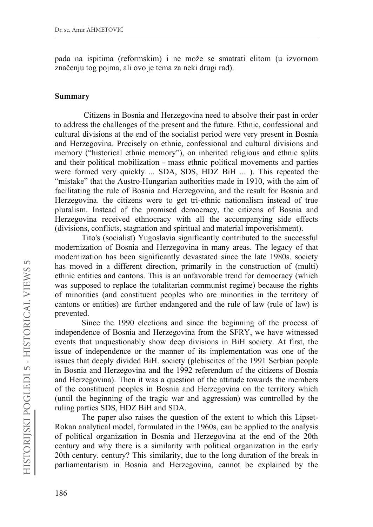pada na ispitima (reformskim) i ne može se smatrati elitom (u izvornom značenju tog pojma, ali ovo je tema za neki drugi rad).

#### **Summary**

Citizens in Bosnia and Herzegovina need to absolve their past in order to address the challenges of the present and the future. Ethnic, confessional and cultural divisions at the end of the socialist period were very present in Bosnia and Herzegovina. Precisely on ethnic, confessional and cultural divisions and memory ("historical ethnic memory"), on inherited religious and ethnic splits and their political mobilization - mass ethnic political movements and parties were formed very quickly ... SDA, SDS, HDZ BiH ... ). This repeated the "mistake" that the Austro-Hungarian authorities made in 1910, with the aim of facilitating the rule of Bosnia and Herzegovina, and the result for Bosnia and Herzegovina. the citizens were to get tri-ethnic nationalism instead of true pluralism. Instead of the promised democracy, the citizens of Bosnia and Herzegovina received ethnocracy with all the accompanying side effects (divisions, conflicts, stagnation and spiritual and material impoverishment).

Tito's (socialist) Yugoslavia significantly contributed to the successful modernization of Bosnia and Herzegovina in many areas. The legacy of that modernization has been significantly devastated since the late 1980s. society has moved in a different direction, primarily in the construction of (multi) ethnic entities and cantons. This is an unfavorable trend for democracy (which was supposed to replace the totalitarian communist regime) because the rights of minorities (and constituent peoples who are minorities in the territory of cantons or entities) are further endangered and the rule of law (rule of law) is prevented.

Since the 1990 elections and since the beginning of the process of independence of Bosnia and Herzegovina from the SFRY, we have witnessed events that unquestionably show deep divisions in BiH society. At first, the issue of independence or the manner of its implementation was one of the issues that deeply divided BiH. society (plebiscites of the 1991 Serbian people in Bosnia and Herzegovina and the 1992 referendum of the citizens of Bosnia and Herzegovina). Then it was a question of the attitude towards the members of the constituent peoples in Bosnia and Herzegovina on the territory which (until the beginning of the tragic war and aggression) was controlled by the ruling parties SDS, HDZ BiH and SDA.

The paper also raises the question of the extent to which this Lipset-Rokan analytical model, formulated in the 1960s, can be applied to the analysis of political organization in Bosnia and Herzegovina at the end of the 20th century and why there is a similarity with political organization in the early 20th century. century? This similarity, due to the long duration of the break in parliamentarism in Bosnia and Herzegovina, cannot be explained by the